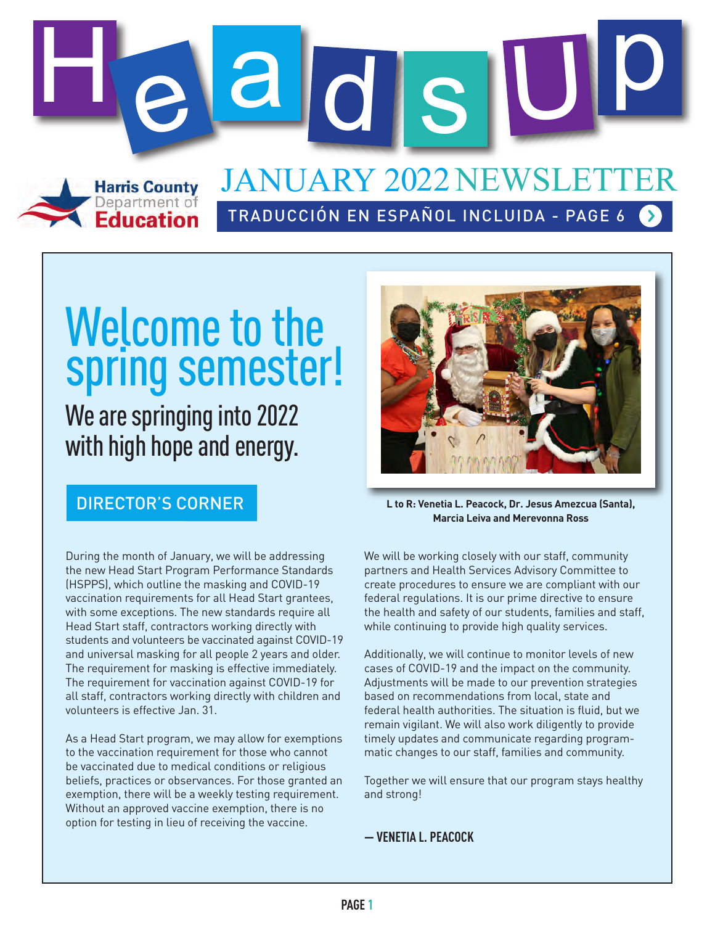

# Welcome to the spring semester!

#### We are springing into 2022 with high hope and energy.

During the month of January, we will be addressing the new Head Start Program Performance Standards (HSPPS), which outline the masking and COVID-19 vaccination requirements for all Head Start grantees, with some exceptions. The new standards require all Head Start staff, contractors working directly with students and volunteers be vaccinated against COVID-19 and universal masking for all people 2 years and older. The requirement for masking is effective immediately. The requirement for vaccination against COVID-19 for all staff, contractors working directly with children and volunteers is effective Jan. 31.

As a Head Start program, we may allow for exemptions to the vaccination requirement for those who cannot be vaccinated due to medical conditions or religious beliefs, practices or observances. For those granted an exemption, there will be a weekly testing requirement. Without an approved vaccine exemption, there is no option for testing in lieu of receiving the vaccine.



**DIRECTOR'S CORNER Let CORNER Let CORNER Let CORNER Let CORNER Let CORNER Let CORNER Let CORNER Let CORNER Let CORNER Let CORNER Let CORNER Let CORNER Let CORNER Let CORNER Let CORNER Let CO Marcia Leiva and Merevonna Ross**

We will be working closely with our staff, community partners and Health Services Advisory Committee to create procedures to ensure we are compliant with our federal regulations. It is our prime directive to ensure the health and safety of our students, families and staff, while continuing to provide high quality services.

Additionally, we will continue to monitor levels of new cases of COVID-19 and the impact on the community. Adjustments will be made to our prevention strategies based on recommendations from local, state and federal health authorities. The situation is fluid, but we remain vigilant. We will also work diligently to provide timely updates and communicate regarding programmatic changes to our staff, families and community.

Together we will ensure that our program stays healthy and strong!

**— VENETIA L. PEACOCK**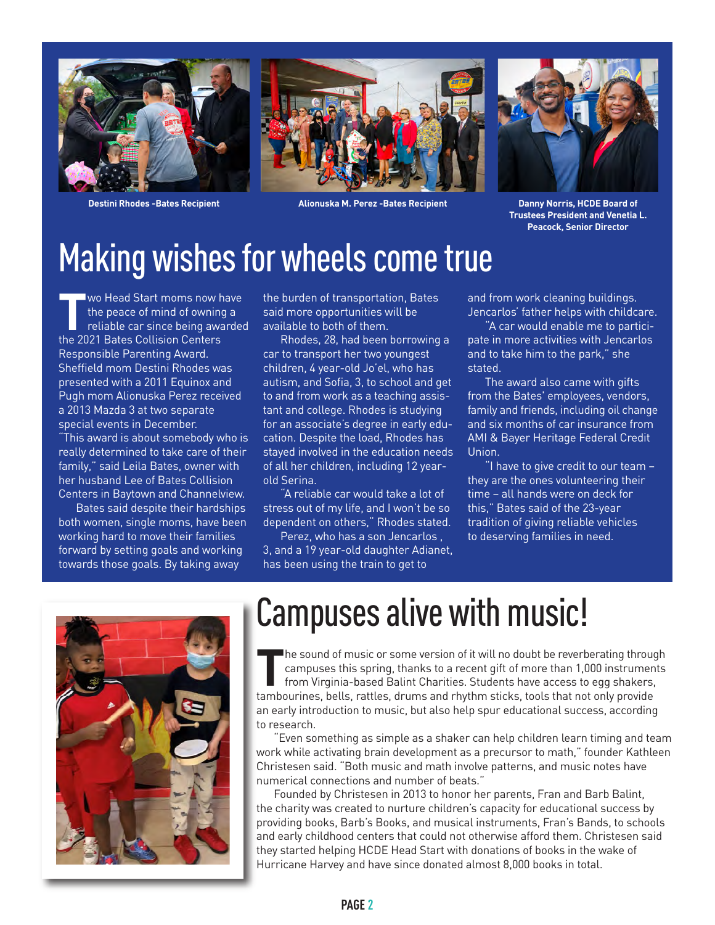



**Destini Rhodes -Bates Recipient Alionuska M. Perez -Bates Recipient**



**Danny Norris, HCDE Board of Trustees President and Venetia L. Peacock, Senior Director**

### Making wishes for wheels come true

**T**wo Head Start moms now have<br>the peace of mind of owning a<br>reliable car since being awarded<br>the 2021 Bates Collision Centers the peace of mind of owning a the 2021 Bates Collision Centers Responsible Parenting Award. Sheffield mom Destini Rhodes was presented with a 2011 Equinox and Pugh mom Alionuska Perez received a 2013 Mazda 3 at two separate special events in December.

"This award is about somebody who is really determined to take care of their family," said Leila Bates, owner with her husband Lee of Bates Collision Centers in Baytown and Channelview.

 Bates said despite their hardships both women, single moms, have been working hard to move their families forward by setting goals and working towards those goals. By taking away

the burden of transportation, Bates said more opportunities will be available to both of them.

 Rhodes, 28, had been borrowing a car to transport her two youngest children, 4 year-old Jo'el, who has autism, and Sofia, 3, to school and get to and from work as a teaching assistant and college. Rhodes is studying for an associate's degree in early education. Despite the load, Rhodes has stayed involved in the education needs of all her children, including 12 yearold Serina.

 "A reliable car would take a lot of stress out of my life, and I won't be so dependent on others," Rhodes stated.

 Perez, who has a son Jencarlos , 3, and a 19 year-old daughter Adianet, has been using the train to get to

and from work cleaning buildings. Jencarlos' father helps with childcare.

 "A car would enable me to participate in more activities with Jencarlos and to take him to the park," she stated.

 The award also came with gifts from the Bates' employees, vendors, family and friends, including oil change and six months of car insurance from AMI & Bayer Heritage Federal Credit Union.

 "I have to give credit to our team – they are the ones volunteering their time – all hands were on deck for this," Bates said of the 23-year tradition of giving reliable vehicles to deserving families in need.



### Campuses alive with music!

The sound of music or some version of it will no doubt be reverberating through<br>campuses this spring, thanks to a recent gift of more than 1,000 instruments<br>from Virginia-based Balint Charities. Students have access to egg campuses this spring, thanks to a recent gift of more than 1,000 instruments from Virginia-based Balint Charities. Students have access to egg shakers,

tambourines, bells, rattles, drums and rhythm sticks, tools that not only provide an early introduction to music, but also help spur educational success, according to research.

 "Even something as simple as a shaker can help children learn timing and team work while activating brain development as a precursor to math," founder Kathleen Christesen said. "Both music and math involve patterns, and music notes have numerical connections and number of beats."

 Founded by Christesen in 2013 to honor her parents, Fran and Barb Balint, the charity was created to nurture children's capacity for educational success by providing books, Barb's Books, and musical instruments, Fran's Bands, to schools and early childhood centers that could not otherwise afford them. Christesen said they started helping HCDE Head Start with donations of books in the wake of Hurricane Harvey and have since donated almost 8,000 books in total.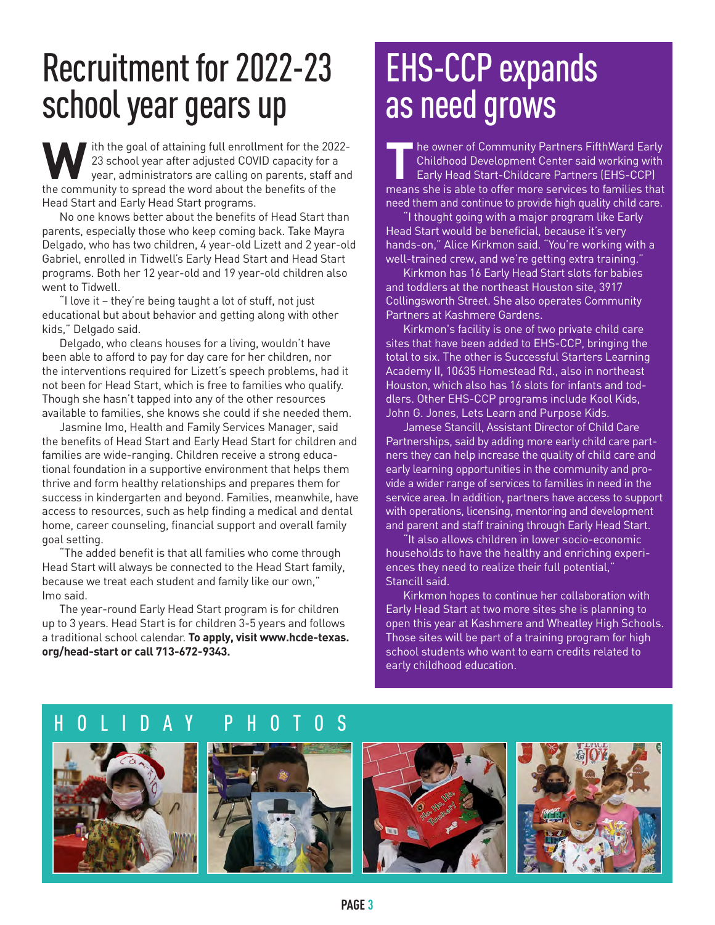### Recruitment for 2022-23 school year gears up

Ith the goal of attaining full enrollment for the 2022-<br>23 school year after adjusted COVID capacity for a<br>year, administrators are calling on parents, staff and 23 school year after adjusted COVID capacity for a year, administrators are calling on parents, staff and the community to spread the word about the benefits of the Head Start and Early Head Start programs.

 No one knows better about the benefits of Head Start than parents, especially those who keep coming back. Take Mayra Delgado, who has two children, 4 year-old Lizett and 2 year-old Gabriel, enrolled in Tidwell's Early Head Start and Head Start programs. Both her 12 year-old and 19 year-old children also went to Tidwell.

 "I love it – they're being taught a lot of stuff, not just educational but about behavior and getting along with other kids," Delgado said.

 Delgado, who cleans houses for a living, wouldn't have been able to afford to pay for day care for her children, nor the interventions required for Lizett's speech problems, had it not been for Head Start, which is free to families who qualify. Though she hasn't tapped into any of the other resources available to families, she knows she could if she needed them.

 Jasmine Imo, Health and Family Services Manager, said the benefits of Head Start and Early Head Start for children and families are wide-ranging. Children receive a strong educational foundation in a supportive environment that helps them thrive and form healthy relationships and prepares them for success in kindergarten and beyond. Families, meanwhile, have access to resources, such as help finding a medical and dental home, career counseling, financial support and overall family goal setting.

 "The added benefit is that all families who come through Head Start will always be connected to the Head Start family, because we treat each student and family like our own," Imo said.

 The year-round Early Head Start program is for children up to 3 years. Head Start is for children 3-5 years and follows a traditional school calendar. **To apply, visit www.hcde-texas. org/head-start or call 713-672-9343.**

### EHS-CCP expands as need grows

**T**he owner of Community Partners FifthWard Early Childhood Development Center said working with Early Head Start-Childcare Partners (EHS-CCP) means she is able to offer more services to families that need them and continue to provide high quality child care.

 "I thought going with a major program like Early Head Start would be beneficial, because it's very hands-on," Alice Kirkmon said. "You're working with a well-trained crew, and we're getting extra training."

 Kirkmon has 16 Early Head Start slots for babies and toddlers at the northeast Houston site, 3917 Collingsworth Street. She also operates Community Partners at Kashmere Gardens.

 Kirkmon's facility is one of two private child care sites that have been added to EHS-CCP, bringing the total to six. The other is Successful Starters Learning Academy II, 10635 Homestead Rd., also in northeast Houston, which also has 16 slots for infants and toddlers. Other EHS-CCP programs include Kool Kids, John G. Jones, Lets Learn and Purpose Kids.

 Jamese Stancill, Assistant Director of Child Care Partnerships, said by adding more early child care partners they can help increase the quality of child care and early learning opportunities in the community and provide a wider range of services to families in need in the service area. In addition, partners have access to support with operations, licensing, mentoring and development and parent and staff training through Early Head Start.

 "It also allows children in lower socio-economic households to have the healthy and enriching experiences they need to realize their full potential," Stancill said.

 Kirkmon hopes to continue her collaboration with Early Head Start at two more sites she is planning to open this year at Kashmere and Wheatley High Schools. Those sites will be part of a training program for high school students who want to earn credits related to early childhood education.

#### HOLIDAY PHOTOS

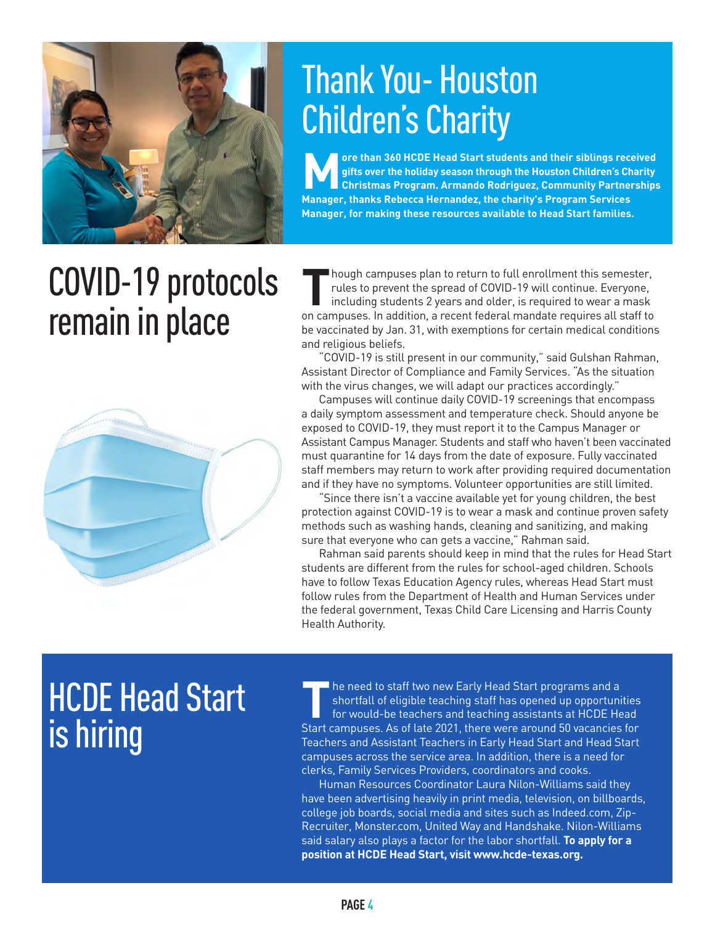

### Thank You- Houston Children's Charity

**More than 360 HCDE Head Start students and their siblings received gifts over the holiday season through the Houston Children's Charity Christmas Program. Armando Rodriguez, Community Partnerships Manager, thanks Rebecca Hernandez, the charity's Program Services Manager, for making these resources available to Head Start families.** 

# COVID-19 protocols remain in place



Though campuses plan to return to full enrollment this semester,<br>rules to prevent the spread of COVID-19 will continue. Everyone,<br>including students 2 years and older, is required to wear a mask<br>on campuses. In addition, a rules to prevent the spread of COVID-19 will continue. Everyone, including students 2 years and older, is required to wear a mask on campuses. In addition, a recent federal mandate requires all staff to be vaccinated by Jan. 31, with exemptions for certain medical conditions and religious beliefs.

 "COVID-19 is still present in our community," said Gulshan Rahman, Assistant Director of Compliance and Family Services. "As the situation with the virus changes, we will adapt our practices accordingly."

 Campuses will continue daily COVID-19 screenings that encompass a daily symptom assessment and temperature check. Should anyone be exposed to COVID-19, they must report it to the Campus Manager or Assistant Campus Manager. Students and staff who haven't been vaccinated must quarantine for 14 days from the date of exposure. Fully vaccinated staff members may return to work after providing required documentation and if they have no symptoms. Volunteer opportunities are still limited.

 "Since there isn't a vaccine available yet for young children, the best protection against COVID-19 is to wear a mask and continue proven safety methods such as washing hands, cleaning and sanitizing, and making sure that everyone who can gets a vaccine," Rahman said.

 Rahman said parents should keep in mind that the rules for Head Start students are different from the rules for school-aged children. Schools have to follow Texas Education Agency rules, whereas Head Start must follow rules from the Department of Health and Human Services under the federal government, Texas Child Care Licensing and Harris County Health Authority.

# **HCDE Head Start** is hiring

**T**he need to staff two new Early Head Start programs and a shortfall of eligible teaching staff has opened up opportunities for would-be teachers and teaching assistants at HCDE Head Start campuses. As of late 2021, there were around 50 vacancies for Teachers and Assistant Teachers in Early Head Start and Head Start campuses across the service area. In addition, there is a need for clerks, Family Services Providers, coordinators and cooks.

 Human Resources Coordinator Laura Nilon-Williams said they have been advertising heavily in print media, television, on billboards, college job boards, social media and sites such as Indeed.com, Zip-Recruiter, Monster.com, United Way and Handshake. Nilon-Williams said salary also plays a factor for the labor shortfall. **To apply for a position at HCDE Head Start, visit www.hcde-texas.org.**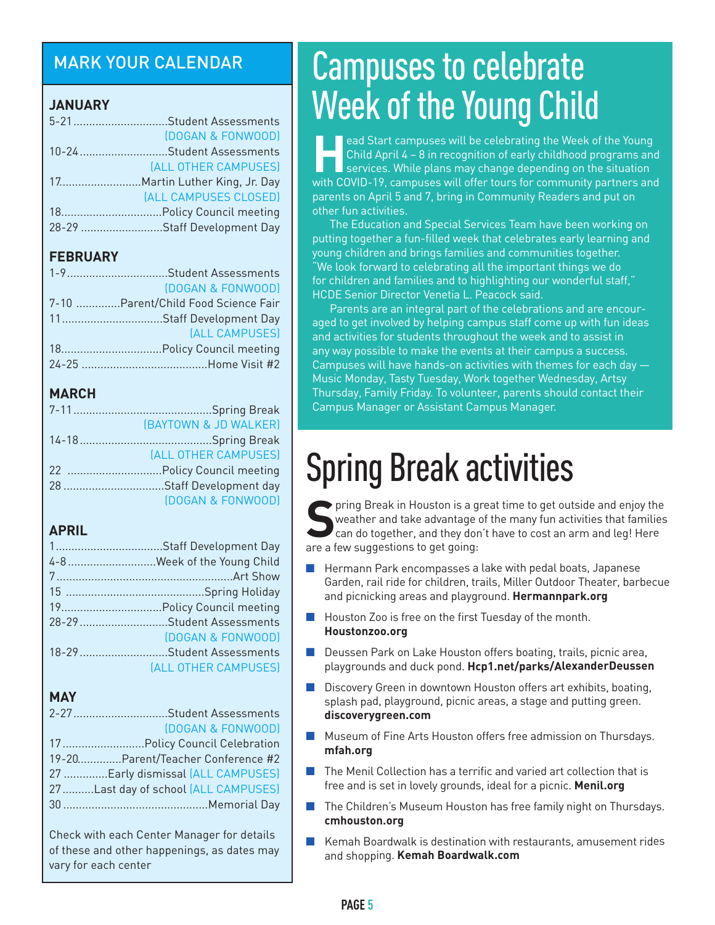#### MARK YOUR CALENDAR

#### **JANUARY**

| 5-21Student Assessments     |
|-----------------------------|
| (DOGAN & FONWOOD)           |
| 10-24Student Assessments    |
| (ALL OTHER CAMPUSES)        |
|                             |
| (ALL CAMPUSES CLOSED)       |
|                             |
| 28-29 Staff Development Day |
|                             |

#### **FEBRUARY**

| 1-9Student Assessments              |
|-------------------------------------|
| (DOGAN & FONWOOD)                   |
| 7-10 Parent/Child Food Science Fair |
| 11Staff Development Day             |
| (ALL CAMPUSES)                      |
|                                     |
|                                     |

#### **MARCH**

| (BAYTOWN & JD WALKER) |
|-----------------------|
|                       |
| (ALL OTHER CAMPUSES)  |
|                       |
|                       |
| (DOGAN & FONWOOD)     |

#### **APRIL**

| 1Staff Development Day             |
|------------------------------------|
| 4-8 Week of the Young Child        |
|                                    |
|                                    |
| 19.         Policy Council meeting |
| 28-29 Student Assessments          |
| (DOGAN & FONWOOD)                  |
| 18-29 Student Assessments          |
| (ALL OTHER CAMPUSES)               |

#### **MAY**

| 2-27Student Assessments             |
|-------------------------------------|
| (DOGAN & FONWOOD)                   |
| 17 Policy Council Celebration       |
| 19-20Parent/Teacher Conference #2   |
| 27 Early dismissal (ALL CAMPUSES)   |
| 27Last day of school (ALL CAMPUSES) |
|                                     |
|                                     |

Check with each Center Manager for details of these and other happenings, as dates may vary for each center

### Campuses to celebrate Week of the Young Child

**H**ead Start campuses will be celebrating the Week of the Young Child April 4 – 8 in recognition of early childhood programs and  $\blacksquare$  services. While plans may change depending on the situation with COVID-19, campuses will offer tours for community partners and parents on April 5 and 7, bring in Community Readers and put on other fun activities.

 The Education and Special Services Team have been working on putting together a fun-filled week that celebrates early learning and young children and brings families and communities together. "We look forward to celebrating all the important things we do for children and families and to highlighting our wonderful staff," HCDE Senior Director Venetia L. Peacock said.

 Parents are an integral part of the celebrations and are encouraged to get involved by helping campus staff come up with fun ideas and activities for students throughout the week and to assist in any way possible to make the events at their campus a success. Campuses will have hands-on activities with themes for each day — Music Monday, Tasty Tuesday, Work together Wednesday, Artsy Thursday, Family Friday. To volunteer, parents should contact their Campus Manager or Assistant Campus Manager.

# Spring Break activities

**S**pring Break in Houston is a great time to get outside and enjoy the weather and take advantage of the many fun activities that families can do together, and they don't have to cost an arm and leg! Here are a few suggestions to get going:

- n Hermann Park encompasses a lake with pedal boats, Japanese Garden, rail ride for children, trails, Miller Outdoor Theater, barbecue and picnicking areas and playground. **Hermannpark.org**
- n Houston Zoo is free on the first Tuesday of the month. **Houstonzoo.org**
- n Deussen Park on Lake Houston offers boating, trails, picnic area, playgrounds and duck pond. **Hcp1.net/parks/AlexanderDeussen**
- Discovery Green in downtown Houston offers art exhibits, boating, splash pad, playground, picnic areas, a stage and putting green. **discoverygreen.com**
- $\blacksquare$  Museum of Fine Arts Houston offers free admission on Thursdays. **mfah.org**
- $\blacksquare$  . The Menil Collection has a terrific and varied art collection that is . free and is set in lovely grounds, ideal for a picnic. **Menil.org**
- $\blacksquare$  The Children's Museum Houston has free family night on Thursdays. **cmhouston.org**
- Kemah Boardwalk is destination with restaurants, amusement rides and shopping. **Kemah Boardwalk.com**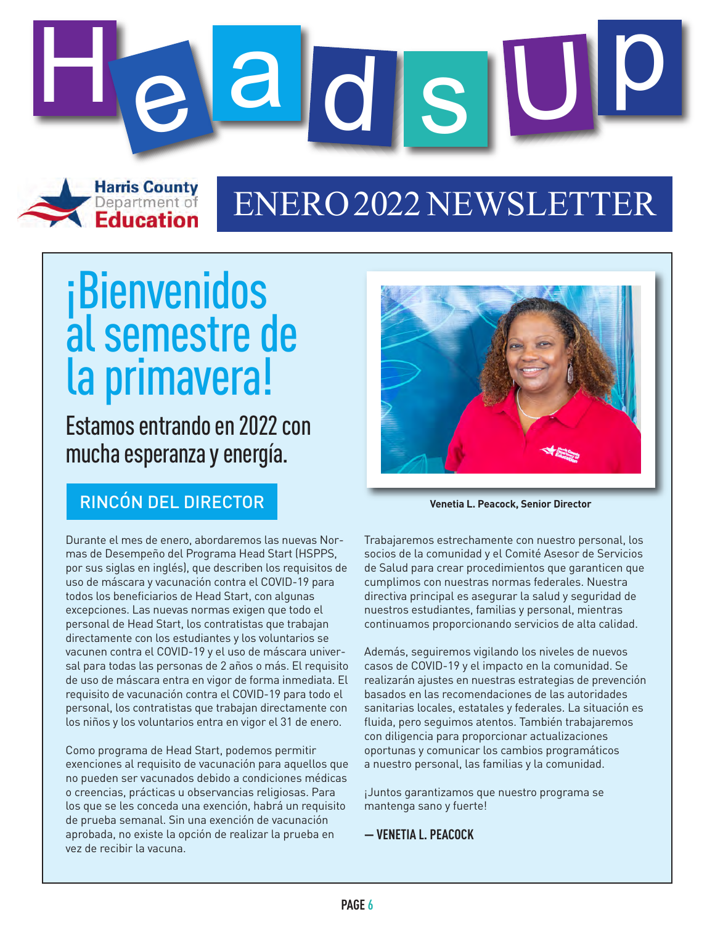

### ENERO2022 NEWSLETTER

# ¡Bienvenidos al semestre de la primavera!

Education

Estamos entrando en 2022 con mucha esperanza y energía.

#### RINCÓN DEL DIRECTOR **Venetia L. Peacock, Senior Director**

Durante el mes de enero, abordaremos las nuevas Normas de Desempeño del Programa Head Start (HSPPS, por sus siglas en inglés), que describen los requisitos de uso de máscara y vacunación contra el COVID-19 para todos los beneficiarios de Head Start, con algunas excepciones. Las nuevas normas exigen que todo el personal de Head Start, los contratistas que trabajan directamente con los estudiantes y los voluntarios se vacunen contra el COVID-19 y el uso de máscara universal para todas las personas de 2 años o más. El requisito de uso de máscara entra en vigor de forma inmediata. El requisito de vacunación contra el COVID-19 para todo el personal, los contratistas que trabajan directamente con los niños y los voluntarios entra en vigor el 31 de enero.

Como programa de Head Start, podemos permitir exenciones al requisito de vacunación para aquellos que no pueden ser vacunados debido a condiciones médicas o creencias, prácticas u observancias religiosas. Para los que se les conceda una exención, habrá un requisito de prueba semanal. Sin una exención de vacunación aprobada, no existe la opción de realizar la prueba en vez de recibir la vacuna.



Trabajaremos estrechamente con nuestro personal, los socios de la comunidad y el Comité Asesor de Servicios de Salud para crear procedimientos que garanticen que cumplimos con nuestras normas federales. Nuestra directiva principal es asegurar la salud y seguridad de nuestros estudiantes, familias y personal, mientras continuamos proporcionando servicios de alta calidad.

Además, seguiremos vigilando los niveles de nuevos casos de COVID-19 y el impacto en la comunidad. Se realizarán ajustes en nuestras estrategias de prevención basados en las recomendaciones de las autoridades sanitarias locales, estatales y federales. La situación es fluida, pero seguimos atentos. También trabajaremos con diligencia para proporcionar actualizaciones oportunas y comunicar los cambios programáticos a nuestro personal, las familias y la comunidad.

¡Juntos garantizamos que nuestro programa se mantenga sano y fuerte!

**— VENETIA L. PEACOCK**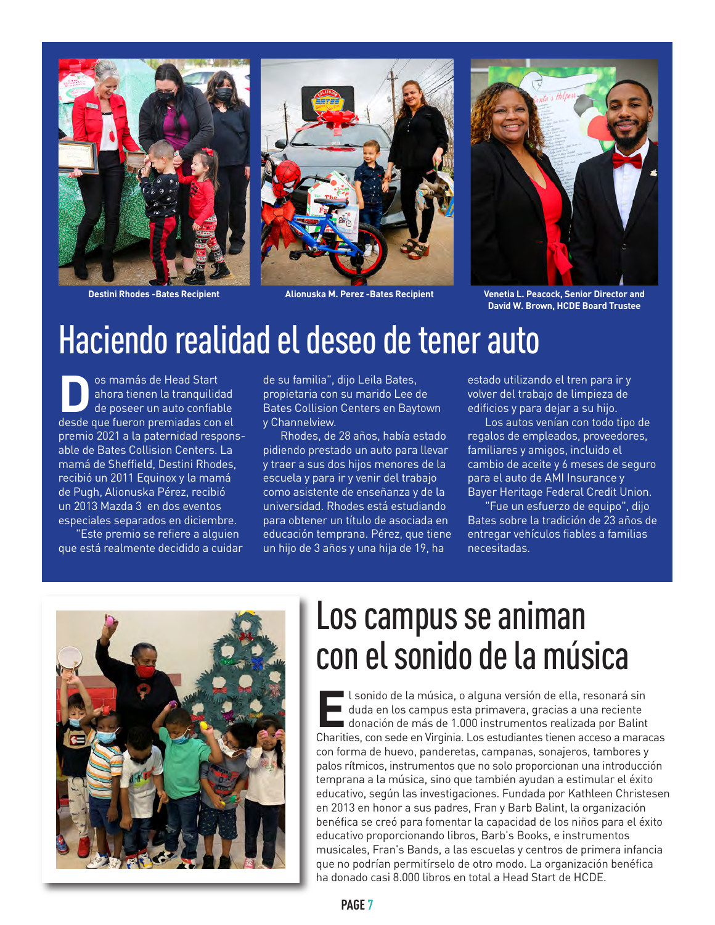

**Destini Rhodes -Bates Recipient Alionuska M. Perez -Bates Recipient**





**Venetia L. Peacock, Senior Director and David W. Brown, HCDE Board Trustee**

#### Haciendo realidad el deseo de tener auto

son mamás de Head Start<br>
ahora tienen la tranquilide<br>
desde que fueron premiadas con ahora tienen la tranquilidad de poseer un auto confiable desde que fueron premiadas con el premio 2021 a la paternidad responsable de Bates Collision Centers. La mamá de Sheffield, Destini Rhodes, recibió un 2011 Equinox y la mamá de Pugh, Alionuska Pérez, recibió un 2013 Mazda 3 en dos eventos especiales separados en diciembre.

 "Este premio se refiere a alguien que está realmente decidido a cuidar

de su familia", dijo Leila Bates, propietaria con su marido Lee de Bates Collision Centers en Baytown y Channelview.

 Rhodes, de 28 años, había estado pidiendo prestado un auto para llevar y traer a sus dos hijos menores de la escuela y para ir y venir del trabajo como asistente de enseñanza y de la universidad. Rhodes está estudiando para obtener un título de asociada en educación temprana. Pérez, que tiene un hijo de 3 años y una hija de 19, ha

estado utilizando el tren para ir y volver del trabajo de limpieza de edificios y para dejar a su hijo.

 Los autos venían con todo tipo de regalos de empleados, proveedores, familiares y amigos, incluido el cambio de aceite y 6 meses de seguro para el auto de AMI Insurance y Bayer Heritage Federal Credit Union.

 "Fue un esfuerzo de equipo", dijo Bates sobre la tradición de 23 años de entregar vehículos fiables a familias necesitadas.



### Los campus se animan con el sonido de la música

El sonido de la música, o alguna versión de ella, resonará sin<br> **El duda en los campus esta primavera, gracias a una reciente<br>
donación de más de 1.000 instrumentos realizada por Balin<br>
Charities con sede en Virginia, Los** duda en los campus esta primavera, gracias a una reciente donación de más de 1.000 instrumentos realizada por Balint Charities, con sede en Virginia. Los estudiantes tienen acceso a maracas con forma de huevo, panderetas, campanas, sonajeros, tambores y palos rítmicos, instrumentos que no solo proporcionan una introducción temprana a la música, sino que también ayudan a estimular el éxito educativo, según las investigaciones. Fundada por Kathleen Christesen en 2013 en honor a sus padres, Fran y Barb Balint, la organización benéfica se creó para fomentar la capacidad de los niños para el éxito educativo proporcionando libros, Barb's Books, e instrumentos musicales, Fran's Bands, a las escuelas y centros de primera infancia que no podrían permitírselo de otro modo. La organización benéfica ha donado casi 8.000 libros en total a Head Start de HCDE.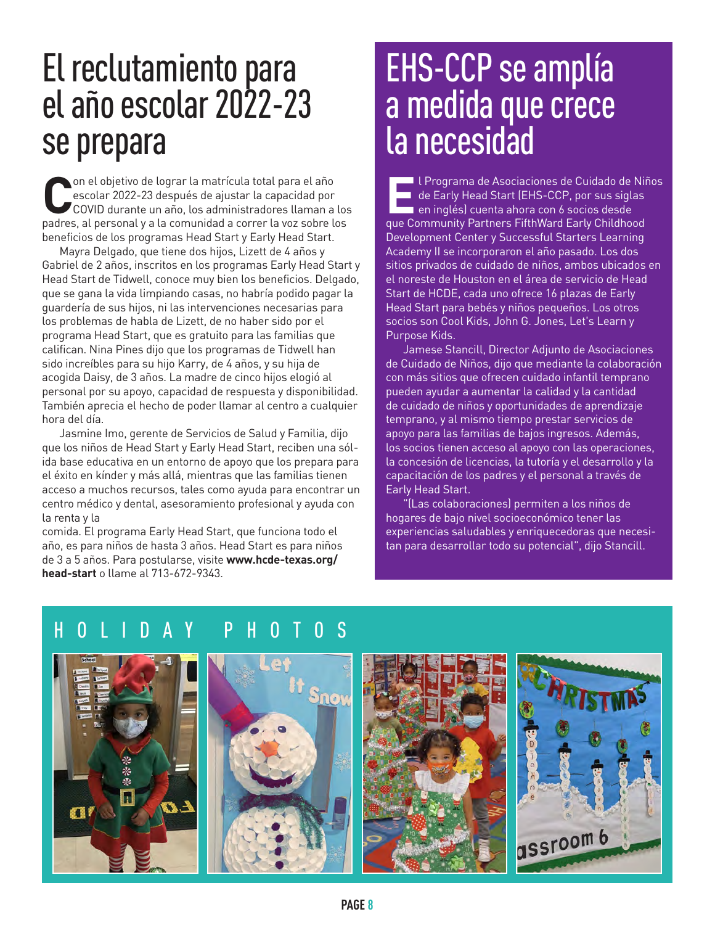### El reclutamiento para el año escolar 2022-23 se prepara

**Con el objetivo de lograr la matrícula total para el año**<br>
COVID durante un año, los administradores llaman a los<br>
padres al personal y a la comunidad a correr la yoz sobre los escolar 2022-23 después de ajustar la capacidad por padres, al personal y a la comunidad a correr la voz sobre los beneficios de los programas Head Start y Early Head Start.

 Mayra Delgado, que tiene dos hijos, Lizett de 4 años y Gabriel de 2 años, inscritos en los programas Early Head Start y Head Start de Tidwell, conoce muy bien los beneficios. Delgado, que se gana la vida limpiando casas, no habría podido pagar la guardería de sus hijos, ni las intervenciones necesarias para los problemas de habla de Lizett, de no haber sido por el programa Head Start, que es gratuito para las familias que califican. Nina Pines dijo que los programas de Tidwell han sido increíbles para su hijo Karry, de 4 años, y su hija de acogida Daisy, de 3 años. La madre de cinco hijos elogió al personal por su apoyo, capacidad de respuesta y disponibilidad. También aprecia el hecho de poder llamar al centro a cualquier hora del día.

 Jasmine Imo, gerente de Servicios de Salud y Familia, dijo que los niños de Head Start y Early Head Start, reciben una sólida base educativa en un entorno de apoyo que los prepara para el éxito en kínder y más allá, mientras que las familias tienen acceso a muchos recursos, tales como ayuda para encontrar un centro médico y dental, asesoramiento profesional y ayuda con la renta y la

comida. El programa Early Head Start, que funciona todo el año, es para niños de hasta 3 años. Head Start es para niños de 3 a 5 años. Para postularse, visite **www.hcde-texas.org/ head-start** o llame al 713-672-9343.

### EHS-CCP se amplía a medida que crece la necesidad

**El Programa de Asociaciones de Cuidado de Niños<br>La de Early Head Start (EHS-CCP, por sus siglas<br>La en inglés) cuenta ahora con 6 socios desde<br>Rue Community Partners EifthWard Early Childhood** de Early Head Start (EHS-CCP, por sus siglas que Community Partners FifthWard Early Childhood Development Center y Successful Starters Learning Academy II se incorporaron el año pasado. Los dos sitios privados de cuidado de niños, ambos ubicados en el noreste de Houston en el área de servicio de Head Start de HCDE, cada uno ofrece 16 plazas de Early Head Start para bebés y niños pequeños. Los otros socios son Cool Kids, John G. Jones, Let's Learn y Purpose Kids.

 Jamese Stancill, Director Adjunto de Asociaciones de Cuidado de Niños, dijo que mediante la colaboración con más sitios que ofrecen cuidado infantil temprano pueden ayudar a aumentar la calidad y la cantidad de cuidado de niños y oportunidades de aprendizaje temprano, y al mismo tiempo prestar servicios de apoyo para las familias de bajos ingresos. Además, los socios tienen acceso al apoyo con las operaciones, la concesión de licencias, la tutoría y el desarrollo y la capacitación de los padres y el personal a través de Early Head Start.

 "(Las colaboraciones) permiten a los niños de hogares de bajo nivel socioeconómico tener las experiencias saludables y enriquecedoras que necesitan para desarrollar todo su potencial", dijo Stancill.

#### HOLIDAY PHOTOS

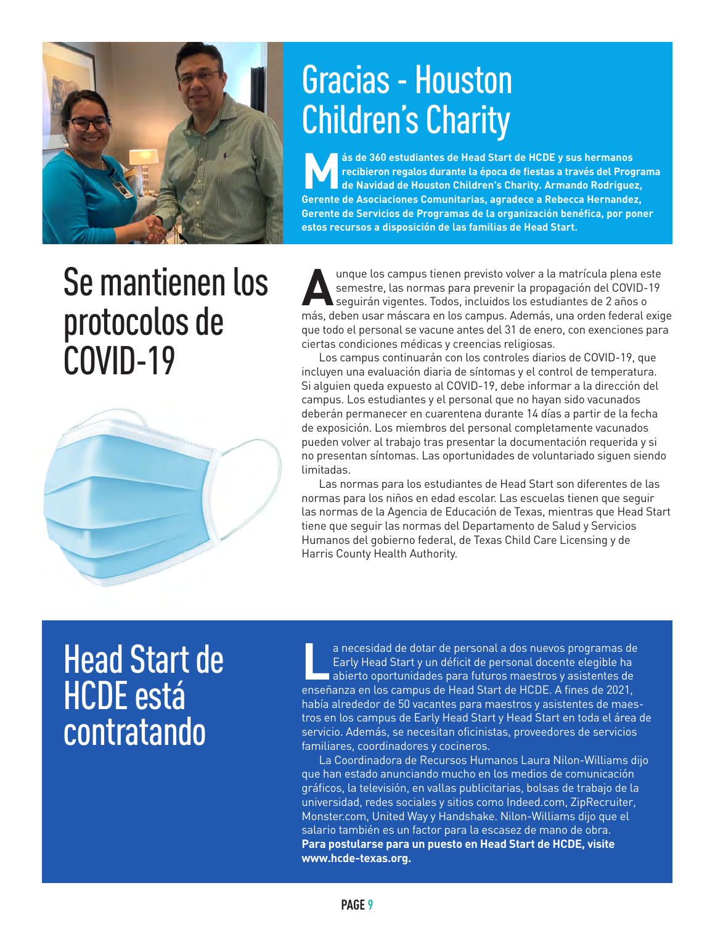

# Gracias - Houston Children's Charity

ESTA de 360 estudiantes de Head Start de HCDE y sus hermanos<br>
recibieron regalos durante la época de fiestas a través del Prog<br>
de Navidad de Houston Children's Charity. Armando Rodrigue.<br>
Coronte de Acociaciones Comunitar **recibieron regalos durante la época de fiestas a través del Programa de Navidad de Houston Children's Charity. Armando Rodriguez, Gerente de Asociaciones Comunitarias, agradece a Rebecca Hernandez, Gerente de Servicios de Programas de la organización benéfica, por poner estos recursos a disposición de las familias de Head Start.** 

### Se mantienen los protocolos de COVID-19



Aunque los campus tienen previsto volver a la matrícula plena este<br>
semestre, las normas para prevenir la propagación del COVID-19<br>
seguirán vigentes. Todos, incluidos los estudiantes de 2 años o<br>
más deben usar máscara en semestre, las normas para prevenir la propagación del COVID-19 seguirán vigentes. Todos, incluidos los estudiantes de 2 años o más, deben usar máscara en los campus. Además, una orden federal exige que todo el personal se vacune antes del 31 de enero, con exenciones para ciertas condiciones médicas y creencias religiosas.

 Los campus continuarán con los controles diarios de COVID-19, que incluyen una evaluación diaria de síntomas y el control de temperatura. Si alguien queda expuesto al COVID-19, debe informar a la dirección del campus. Los estudiantes y el personal que no hayan sido vacunados deberán permanecer en cuarentena durante 14 días a partir de la fecha de exposición. Los miembros del personal completamente vacunados pueden volver al trabajo tras presentar la documentación requerida y si no presentan síntomas. Las oportunidades de voluntariado siguen siendo limitadas.

 Las normas para los estudiantes de Head Start son diferentes de las normas para los niños en edad escolar. Las escuelas tienen que seguir las normas de la Agencia de Educación de Texas, mientras que Head Start tiene que seguir las normas del Departamento de Salud y Servicios Humanos del gobierno federal, de Texas Child Care Licensing y de Harris County Health Authority.

### Head Start de HCDE está **contratando**

a necesidad de dotar de personal a dos nuevos programas de<br>Early Head Start y un déficit de personal docente elegible ha<br>abierto oportunidades para futuros maestros y asistentes de Early Head Start y un déficit de personal docente elegible ha abierto oportunidades para futuros maestros y asistentes de enseñanza en los campus de Head Start de HCDE. A fines de 2021, había alrededor de 50 vacantes para maestros y asistentes de maestros en los campus de Early Head Start y Head Start en toda el área de servicio. Además, se necesitan oficinistas, proveedores de servicios familiares, coordinadores y cocineros.

 La Coordinadora de Recursos Humanos Laura Nilon-Williams dijo que han estado anunciando mucho en los medios de comunicación gráficos, la televisión, en vallas publicitarias, bolsas de trabajo de la universidad, redes sociales y sitios como Indeed.com, ZipRecruiter, Monster.com, United Way y Handshake. Nilon-Williams dijo que el salario también es un factor para la escasez de mano de obra. **Para postularse para un puesto en Head Start de HCDE, visite www.hcde-texas.org.**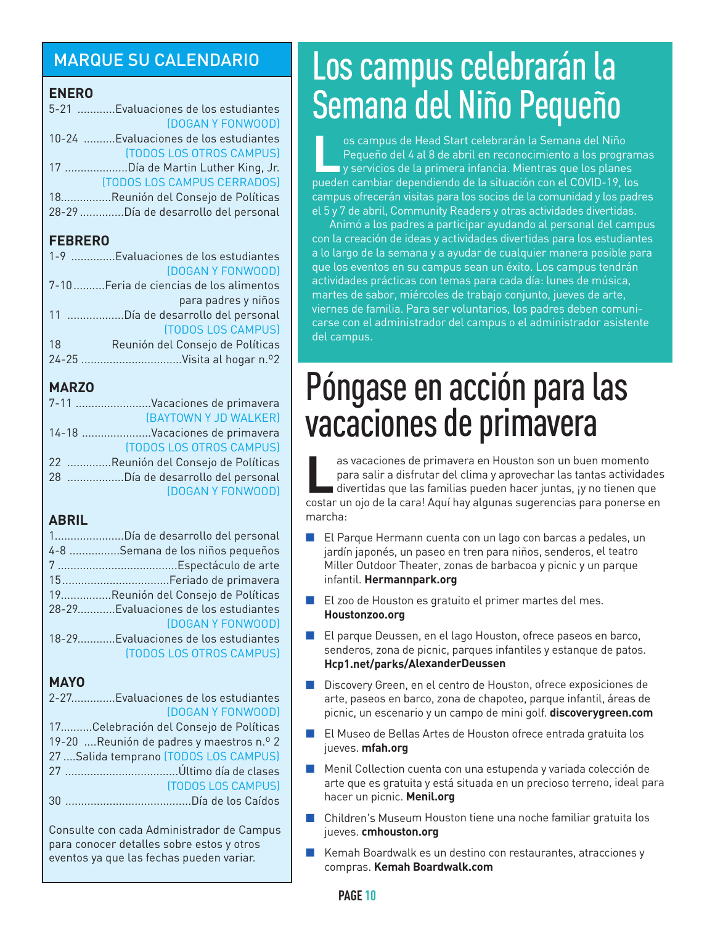#### MARQUE SU CALENDARIO

#### **ENERO**

| 5-21 Evaluaciones de los estudiantes   |
|----------------------------------------|
| (DOGAN Y FONWOOD)                      |
| 10-24  Evaluaciones de los estudiantes |
| (TODOS LOS OTROS CAMPUS)               |
| 17 Día de Martin Luther King, Jr.      |
| (TODOS LOS CAMPUS CERRADOS)            |
| 18Reunión del Consejo de Políticas     |
| 28-29 Día de desarrollo del personal   |
|                                        |

#### **FEBRERO**

|    | 1-9 Evaluaciones de los estudiantes    |
|----|----------------------------------------|
|    | (DOGAN Y FONWOOD)                      |
|    | 7-10Feria de ciencias de los alimentos |
|    | para padres y niños                    |
|    | 11 Día de desarrollo del personal      |
|    | (TODOS LOS CAMPUS)                     |
| 18 | Reunión del Consejo de Políticas       |
|    |                                        |
|    |                                        |

#### **MARZO**

| 7-11 Vacaciones de primavera        |
|-------------------------------------|
| (BAYTOWN Y JD WALKER)               |
| 14-18 Vacaciones de primavera       |
| (TODOS LOS OTROS CAMPUS)            |
| 22 Reunión del Consejo de Políticas |
| 28 Día de desarrollo del personal   |
| (DOGAN Y FONWOOD)                   |
|                                     |

#### **ABRIL**

| 1Día de desarrollo del personal          |
|------------------------------------------|
| 4-8 Semana de los niños pequeños         |
|                                          |
|                                          |
| 19.     Reunión del Consejo de Políticas |
| 28-29Evaluaciones de los estudiantes     |
| (DOGAN Y FONWOOD)                        |
| 18-29Evaluaciones de los estudiantes     |
| <b>(TODOS LOS OTROS CAMPUS)</b>          |
|                                          |

#### **MAYO**

| 2-27Evaluaciones de los estudiantes       |
|-------------------------------------------|
| (DOGAN Y FONWOOD)                         |
| 17Celebración del Consejo de Políticas    |
| 19-20  Reunión de padres y maestros n.º 2 |
| 27  Salida temprano (TODOS LOS CAMPUS)    |
|                                           |
| <b>(TODOS LOS CAMPUS)</b>                 |
|                                           |
|                                           |
| Consulte con cada Administrador de Campus |

Consulte con cada Administrador de Campus para conocer detalles sobre estos y otros eventos ya que las fechas pueden variar.

### Los campus celebrarán la Semana del Niño Pequeño

**L**os campus de Head Start celebrarán la Semana del Niño Pequeño del 4 al 8 de abril en reconocimiento a los programas y servicios de la primera infancia. Mientras que los planes pueden cambiar dependiendo de la situación con el COVID-19, los campus ofrecerán visitas para los socios de la comunidad y los padres el 5 y 7 de abril, Community Readers y otras actividades divertidas.

 Animó a los padres a participar ayudando al personal del campus con la creación de ideas y actividades divertidas para los estudiantes a lo largo de la semana y a ayudar de cualquier manera posible para que los eventos en su campus sean un éxito. Los campus tendrán actividades prácticas con temas para cada día: lunes de música, martes de sabor, miércoles de trabajo conjunto, jueves de arte, viernes de familia. Para ser voluntarios, los padres deben comunicarse con el administrador del campus o el administrador asistente del campus.

### Póngase en acción para las vacaciones de primavera

**Las vacaciones de primavera en Houston son un buen momento<br>Para salir a disfrutar del clima y aprovechar las tantas activida<br>International divertidas que las familias pueden hacer iuntas, un o tienen qu** para salir a disfrutar del clima y aprovechar las tantas actividades ■ divertidas que las familias pueden hacer juntas, ¡y no tienen que costar un ojo de la cara! Aquí hay algunas sugerencias para ponerse en marcha:

- n El Parque Hermann cuenta con un lago con barcas a pedales, un jardín japonés, un paseo en tren para niños, senderos, el teatro Miller Outdoor Theater, zonas de barbacoa y picnic y un parque infantil. **Hermannpark.org**
- n El zoo de Houston es gratuito el primer martes del mes. **Houstonzoo.org**
- $\blacksquare$  El parque Deussen, en el lago Houston, ofrece paseos en barco, senderos, zona de picnic, parques infantiles y estanque de patos. **Hcp1.net/parks/AlexanderDeussen**
- n Discovery Green, en el centro de Houston, ofrece exposiciones de arte, paseos en barco, zona de chapoteo, parque infantil, áreas de picnic, un escenario y un campo de mini golf. **discoverygreen.com**
- $\blacksquare$   $\blacksquare$  El Museo de Bellas Artes de Houston ofrece entrada gratuita los jueves. **mfah.org**
- $\blacksquare$  Menil Collection cuenta con una estupenda y variada colección de arte que es gratuita y está situada en un precioso terreno, ideal para hacer un picnic. **Menil.org**
- n Children's Museum Houston tiene una noche familiar gratuita los jueves. **cmhouston.org**
- n Kemah Boardwalk es un destino con restaurantes, atracciones y compras. **Kemah Boardwalk.com**